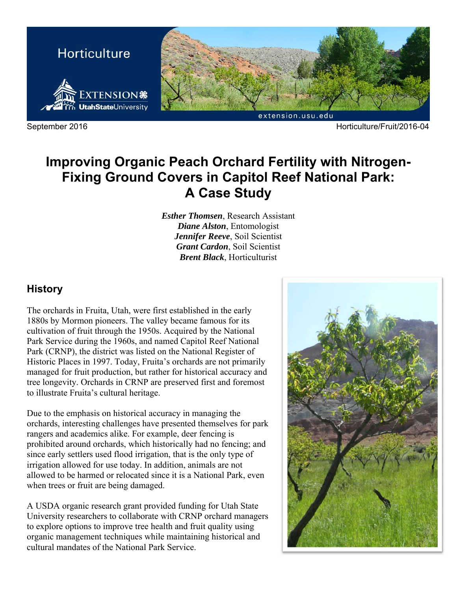

September 2016 Horticulture/Fruit/2016-04

# **Improving Organic Peach Orchard Fertility with Nitrogen-Fixing Ground Covers in Capitol Reef National Park: A Case Study**

*Esther Thomsen*, Research Assistant *Diane Alston*, Entomologist *Jennifer Reeve*, Soil Scientist *Grant Cardon*, Soil Scientist *Brent Black*, Horticulturist

### **History**

The orchards in Fruita, Utah, were first established in the early 1880s by Mormon pioneers. The valley became famous for its cultivation of fruit through the 1950s. Acquired by the National Park Service during the 1960s, and named Capitol Reef National Park (CRNP), the district was listed on the National Register of Historic Places in 1997. Today, Fruita's orchards are not primarily managed for fruit production, but rather for historical accuracy and tree longevity. Orchards in CRNP are preserved first and foremost to illustrate Fruita's cultural heritage.

Due to the emphasis on historical accuracy in managing the orchards, interesting challenges have presented themselves for park rangers and academics alike. For example, deer fencing is prohibited around orchards, which historically had no fencing; and since early settlers used flood irrigation, that is the only type of irrigation allowed for use today. In addition, animals are not allowed to be harmed or relocated since it is a National Park, even when trees or fruit are being damaged.

A USDA organic research grant provided funding for Utah State University researchers to collaborate with CRNP orchard managers to explore options to improve tree health and fruit quality using organic management techniques while maintaining historical and cultural mandates of the National Park Service.

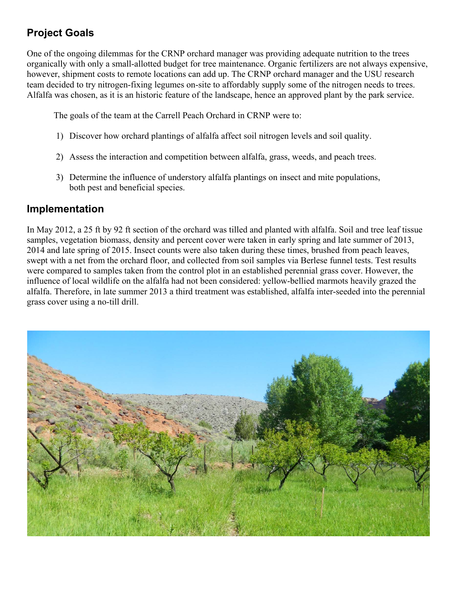# **Project Goals**

One of the ongoing dilemmas for the CRNP orchard manager was providing adequate nutrition to the trees organically with only a small-allotted budget for tree maintenance. Organic fertilizers are not always expensive, however, shipment costs to remote locations can add up. The CRNP orchard manager and the USU research team decided to try nitrogen-fixing legumes on-site to affordably supply some of the nitrogen needs to trees. Alfalfa was chosen, as it is an historic feature of the landscape, hence an approved plant by the park service.

The goals of the team at the Carrell Peach Orchard in CRNP were to:

- 1) Discover how orchard plantings of alfalfa affect soil nitrogen levels and soil quality.
- 2) Assess the interaction and competition between alfalfa, grass, weeds, and peach trees.
- 3) Determine the influence of understory alfalfa plantings on insect and mite populations, both pest and beneficial species.

## **Implementation**

In May 2012, a 25 ft by 92 ft section of the orchard was tilled and planted with alfalfa. Soil and tree leaf tissue samples, vegetation biomass, density and percent cover were taken in early spring and late summer of 2013, 2014 and late spring of 2015. Insect counts were also taken during these times, brushed from peach leaves, swept with a net from the orchard floor, and collected from soil samples via Berlese funnel tests. Test results were compared to samples taken from the control plot in an established perennial grass cover. However, the influence of local wildlife on the alfalfa had not been considered: yellow-bellied marmots heavily grazed the alfalfa. Therefore, in late summer 2013 a third treatment was established, alfalfa inter-seeded into the perennial grass cover using a no-till drill.

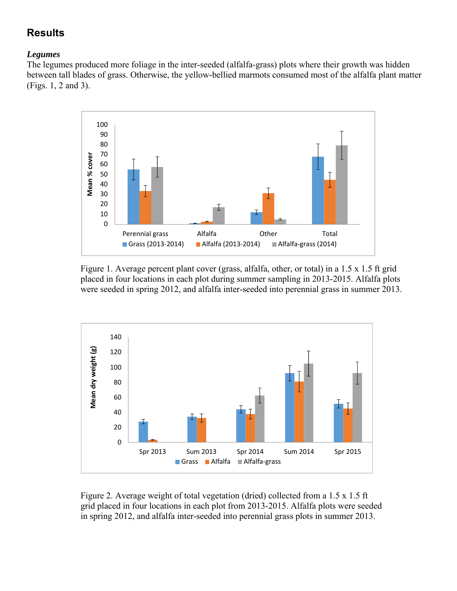# **Results**

#### *Legumes*

The legumes produced more foliage in the inter-seeded (alfalfa-grass) plots where their growth was hidden between tall blades of grass. Otherwise, the yellow-bellied marmots consumed most of the alfalfa plant matter (Figs. 1, 2 and 3).



Figure 1. Average percent plant cover (grass, alfalfa, other, or total) in a 1.5 x 1.5 ft grid placed in four locations in each plot during summer sampling in 2013-2015. Alfalfa plots were seeded in spring 2012, and alfalfa inter-seeded into perennial grass in summer 2013.



Figure 2. Average weight of total vegetation (dried) collected from a 1.5 x 1.5 ft grid placed in four locations in each plot from 2013-2015. Alfalfa plots were seeded in spring 2012, and alfalfa inter-seeded into perennial grass plots in summer 2013.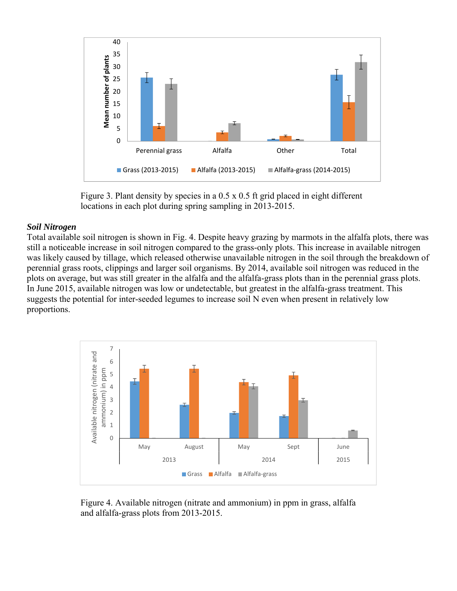

Figure 3. Plant density by species in a 0.5 x 0.5 ft grid placed in eight different locations in each plot during spring sampling in 2013-2015.

#### *Soil Nitrogen*

Total available soil nitrogen is shown in Fig. 4. Despite heavy grazing by marmots in the alfalfa plots, there was still a noticeable increase in soil nitrogen compared to the grass-only plots. This increase in available nitrogen was likely caused by tillage, which released otherwise unavailable nitrogen in the soil through the breakdown of perennial grass roots, clippings and larger soil organisms. By 2014, available soil nitrogen was reduced in the plots on average, but was still greater in the alfalfa and the alfalfa-grass plots than in the perennial grass plots. In June 2015, available nitrogen was low or undetectable, but greatest in the alfalfa-grass treatment. This suggests the potential for inter-seeded legumes to increase soil N even when present in relatively low proportions.



 Figure 4. Available nitrogen (nitrate and ammonium) in ppm in grass, alfalfa and alfalfa-grass plots from 2013-2015.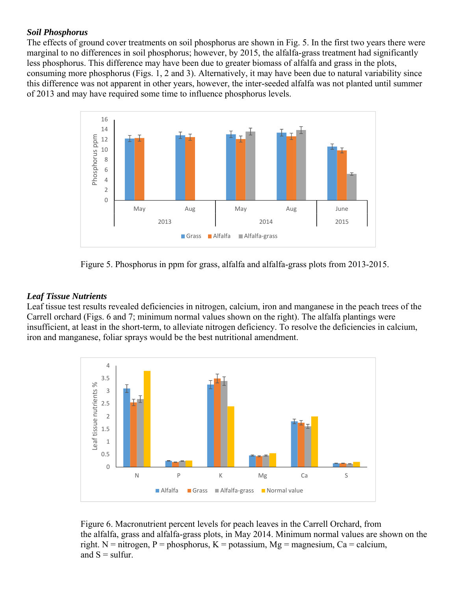#### *Soil Phosphorus*

The effects of ground cover treatments on soil phosphorus are shown in Fig. 5. In the first two years there were marginal to no differences in soil phosphorus; however, by 2015, the alfalfa-grass treatment had significantly less phosphorus. This difference may have been due to greater biomass of alfalfa and grass in the plots, consuming more phosphorus (Figs. 1, 2 and 3). Alternatively, it may have been due to natural variability since this difference was not apparent in other years, however, the inter-seeded alfalfa was not planted until summer of 2013 and may have required some time to influence phosphorus levels.



Figure 5. Phosphorus in ppm for grass, alfalfa and alfalfa-grass plots from 2013-2015.

#### *Leaf Tissue Nutrients*

Leaf tissue test results revealed deficiencies in nitrogen, calcium, iron and manganese in the peach trees of the Carrell orchard (Figs. 6 and 7; minimum normal values shown on the right). The alfalfa plantings were insufficient, at least in the short-term, to alleviate nitrogen deficiency. To resolve the deficiencies in calcium, iron and manganese, foliar sprays would be the best nutritional amendment.



Figure 6. Macronutrient percent levels for peach leaves in the Carrell Orchard, from the alfalfa, grass and alfalfa-grass plots, in May 2014. Minimum normal values are shown on the right. N = nitrogen, P = phosphorus, K = potassium, Mg = magnesium, Ca = calcium, and  $S = \text{suffix}.$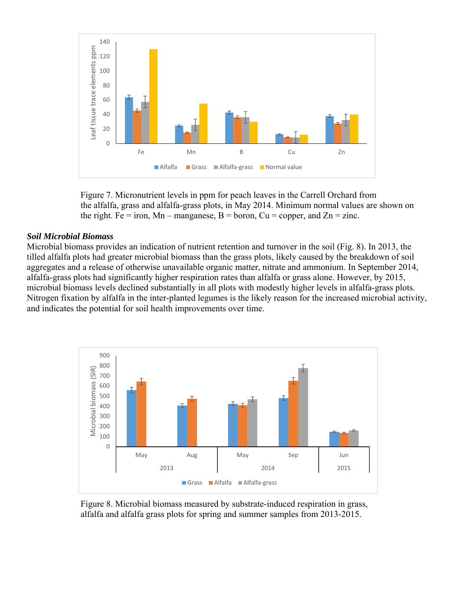

Figure 7. Micronutrient levels in ppm for peach leaves in the Carrell Orchard from the alfalfa, grass and alfalfa-grass plots, in May 2014. Minimum normal values are shown on the right. Fe = iron, Mn – manganese, B = boron, Cu = copper, and Zn = zinc.

#### *Soil Microbial Biomass*

Microbial biomass provides an indication of nutrient retention and turnover in the soil (Fig. 8). In 2013, the tilled alfalfa plots had greater microbial biomass than the grass plots, likely caused by the breakdown of soil aggregates and a release of otherwise unavailable organic matter, nitrate and ammonium. In September 2014, alfalfa-grass plots had significantly higher respiration rates than alfalfa or grass alone. However, by 2015, microbial biomass levels declined substantially in all plots with modestly higher levels in alfalfa-grass plots. Nitrogen fixation by alfalfa in the inter-planted legumes is the likely reason for the increased microbial activity, and indicates the potential for soil health improvements over time.



Figure 8. Microbial biomass measured by substrate-induced respiration in grass, alfalfa and alfalfa grass plots for spring and summer samples from 2013-2015.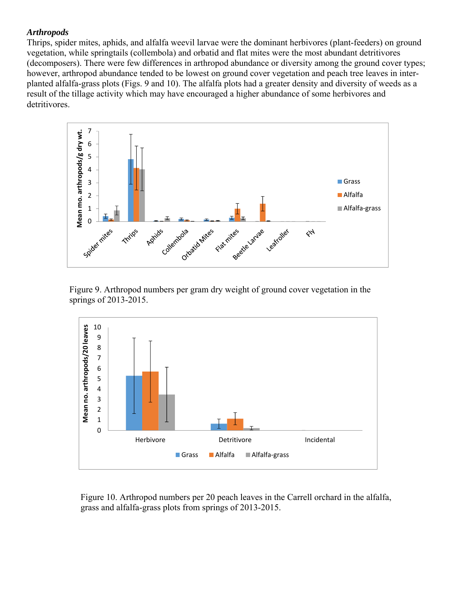#### *Arthropods*

Thrips, spider mites, aphids, and alfalfa weevil larvae were the dominant herbivores (plant-feeders) on ground vegetation, while springtails (collembola) and orbatid and flat mites were the most abundant detritivores (decomposers). There were few differences in arthropod abundance or diversity among the ground cover types; however, arthropod abundance tended to be lowest on ground cover vegetation and peach tree leaves in interplanted alfalfa-grass plots (Figs. 9 and 10). The alfalfa plots had a greater density and diversity of weeds as a result of the tillage activity which may have encouraged a higher abundance of some herbivores and detritivores.



 Figure 9. Arthropod numbers per gram dry weight of ground cover vegetation in the springs of 2013-2015.



Figure 10. Arthropod numbers per 20 peach leaves in the Carrell orchard in the alfalfa, grass and alfalfa-grass plots from springs of 2013-2015.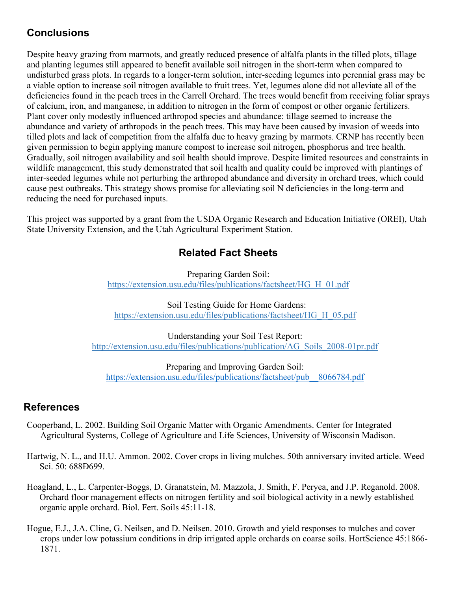# **Conclusions**

Despite heavy grazing from marmots, and greatly reduced presence of alfalfa plants in the tilled plots, tillage and planting legumes still appeared to benefit available soil nitrogen in the short-term when compared to undisturbed grass plots. In regards to a longer-term solution, inter-seeding legumes into perennial grass may be a viable option to increase soil nitrogen available to fruit trees. Yet, legumes alone did not alleviate all of the deficiencies found in the peach trees in the Carrell Orchard. The trees would benefit from receiving foliar sprays of calcium, iron, and manganese, in addition to nitrogen in the form of compost or other organic fertilizers. Plant cover only modestly influenced arthropod species and abundance: tillage seemed to increase the abundance and variety of arthropods in the peach trees. This may have been caused by invasion of weeds into tilled plots and lack of competition from the alfalfa due to heavy grazing by marmots. CRNP has recently been given permission to begin applying manure compost to increase soil nitrogen, phosphorus and tree health. Gradually, soil nitrogen availability and soil health should improve. Despite limited resources and constraints in wildlife management, this study demonstrated that soil health and quality could be improved with plantings of inter-seeded legumes while not perturbing the arthropod abundance and diversity in orchard trees, which could cause pest outbreaks. This strategy shows promise for alleviating soil N deficiencies in the long-term and reducing the need for purchased inputs.

This project was supported by a grant from the USDA Organic Research and Education Initiative (OREI), Utah State University Extension, and the Utah Agricultural Experiment Station.

## **Related Fact Sheets**

Preparing Garden Soil: https://extension.usu.edu/files/publications/factsheet/HG\_H\_01.pdf

Soil Testing Guide for Home Gardens: https://extension.usu.edu/files/publications/factsheet/HG\_H\_05.pdf

Understanding your Soil Test Report: http://extension.usu.edu/files/publications/publication/AG\_Soils\_2008-01pr.pdf

Preparing and Improving Garden Soil: https://extension.usu.edu/files/publications/factsheet/pub\_\_8066784.pdf

### **References**

- Cooperband, L. 2002. Building Soil Organic Matter with Organic Amendments. Center for Integrated Agricultural Systems, College of Agriculture and Life Sciences, University of Wisconsin Madison.
- Hartwig, N. L., and H.U. Ammon. 2002. Cover crops in living mulches. 50th anniversary invited article. Weed Sci. 50: 688Ð699.
- Hoagland, L., L. Carpenter-Boggs, D. Granatstein, M. Mazzola, J. Smith, F. Peryea, and J.P. Reganold. 2008. Orchard floor management effects on nitrogen fertility and soil biological activity in a newly established organic apple orchard. Biol. Fert. Soils 45:11-18.
- Hogue, E.J., J.A. Cline, G. Neilsen, and D. Neilsen. 2010. Growth and yield responses to mulches and cover crops under low potassium conditions in drip irrigated apple orchards on coarse soils. HortScience 45:1866- 1871.